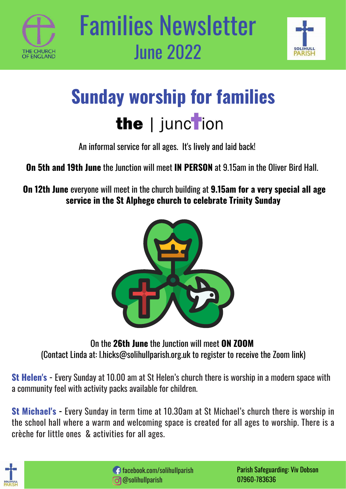



## **Sunday worship for families** the | junction

An informal service for all ages. It's lively and laid back!

**On 5th and 19th June** the Junction will meet **IN PERSON** at 9.15am in the Oliver Bird Hall.

**On 12th June** everyone will meet in the church building at **9.15am for a very special all age service in the St Alphege church to celebrate Trinity Sunday**



On the **26th June** the Junction will meet **ON ZOOM** (Contact Linda at: l.hicks@solihullparish.org.uk to register to receive the Zoom link)

**St Helen's -** Every Sunday at 10.00 am at St Helen's church there is worship in a modern space with a community feel with activity packs available for children.

**St Michael's -** Every Sunday in term time at 10.30am at St Michael's church there is worship in the school hall where a warm and welcoming space is created for all ages to worship. There is a crèche for little ones & activities for all ages.

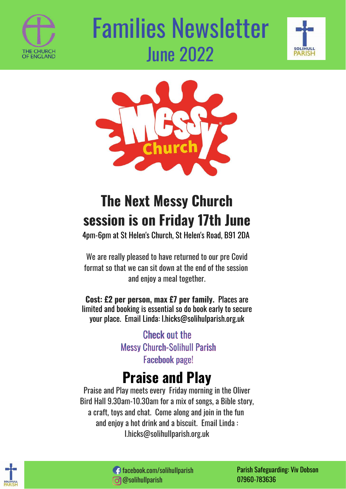

# Families Newsletter June 2022





### **The Next Messy Church session is on Friday 17th June**

4pm-6pm at St Helen's Church, St Helen's Road, B91 2DA

We are really pleased to have returned to our pre Covid format so that we can sit down at the end of the session and enjoy a meal together.

**Cost: £2 per person, max £7 per family.** Places are limited and booking is essential so do book early to secure your place. Email Linda: l.hicks@solihulparish.org.uk

> **Check out the Messy Church-Solihull Parish Facebook page!**

#### **Praise and Play**

Praise and Play meets every Friday morning in the Oliver Bird Hall 9.30am-10.30am for a mix of songs, a Bible story, a craft, toys and chat. Come along and join in the fun and enjoy a hot drink and a biscuit. Email Linda : l.hicks@solihullparish.org.uk





Parish Safeguarding: Viv Dobson 07960-783636